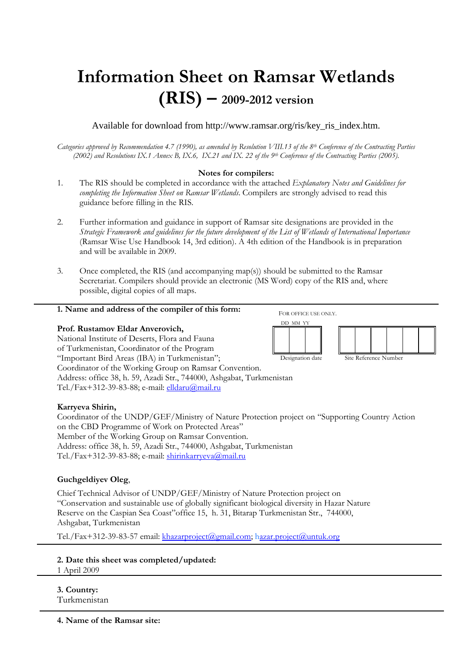# **Information Sheet on Ramsar Wetlands (RIS) – 2009-2012 version**

Available for download from http://www.ramsar.org/ris/key\_ris\_index.htm.

*Categories approved by Recommendation 4.7 (1990), as amended by Resolution VIII.13 of the 8th Conference of the Contracting Parties (2002) and Resolutions IX.1 Annex B, IX.6, IX.21 and IX. 22 of the 9th Conference of the Contracting Parties (2005).* 

# **Notes for compilers:**

- 1. The RIS should be completed in accordance with the attached *Explanatory Notes and Guidelines for completing the Information Sheet on Ramsar Wetlands*. Compilers are strongly advised to read this guidance before filling in the RIS.
- 2. Further information and guidance in support of Ramsar site designations are provided in the *Strategic Framework and guidelines for the future development of the List of Wetlands of International Importance*  (Ramsar Wise Use Handbook 14, 3rd edition). A 4th edition of the Handbook is in preparation and will be available in 2009.
- 3. Once completed, the RIS (and accompanying map(s)) should be submitted to the Ramsar Secretariat. Compilers should provide an electronic (MS Word) copy of the RIS and, where possible, digital copies of all maps.

## **1. Name and address of the compiler of this form:**

## **Prof. Rustamov Eldar Anverovich,**

National Institute of Deserts, Flora and Fauna of Turkmenistan, Coordinator of the Program "Important Bird Areas (IBA) in Turkmenistan"; Coordinator of the Working Group on Ramsar Convention. Address: office 38, h. 59, Azadi Str., 744000, Ashgabat, Turkmenistan Tel./Fax+312-39-83-88; e-mail: elldaru@mail.ru

## **Karryeva Shirin,**

Coordinator of the UNDP/GEF/Ministry of Nature Protection project on "Supporting Country Action on the CBD Programme of Work on Protected Areas" Member of the Working Group on Ramsar Convention. Address: office 38, h. 59, Azadi Str., 744000, Ashgabat, Turkmenistan Tel./Fax+312-39-83-88; e-mail: shirinkarryeva@mail.ru

## **Guchgeldiyev Oleg**,

Chief Technical Advisor of UNDP/GEF/Ministry of Nature Protection project on "Conservation and sustainable use of globally significant biological diversity in Hazar Nature Reserve on the Caspian Sea Coast"office 15, h. 31, Bitarap Turkmenistan Str., 744000, Ashgabat, Turkmenistan

Tel./Fax+312-39-83-57 email: khazarproject@gmail.com; hazar.project@untuk.org

**2. Date this sheet was completed/updated:** 

1 April 2009

**3. Country:** 

Turkmenistan

**4. Name of the Ramsar site:** 

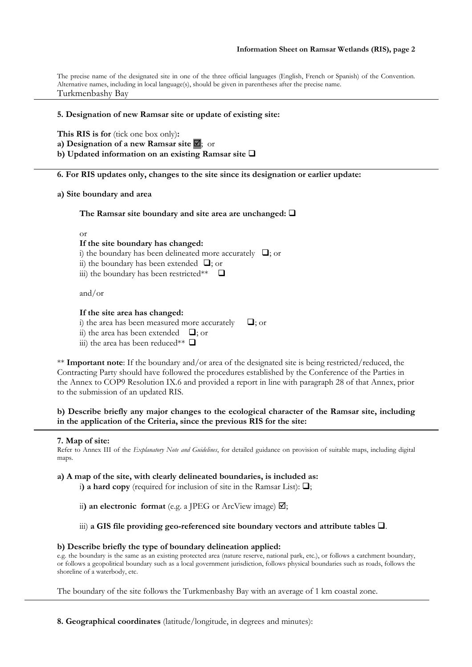The precise name of the designated site in one of the three official languages (English, French or Spanish) of the Convention. Alternative names, including in local language(s), should be given in parentheses after the precise name. Turkmenbashy Bay

## **5. Designation of new Ramsar site or update of existing site:**

**This RIS is for** (tick one box only)**: a) Designation of a new Ramsar site** ; or **b**) Updated information on an existing Ramsar site  $\Box$ 

**6. For RIS updates only, changes to the site since its designation or earlier update:** 

**a) Site boundary and area** 

The Ramsar site boundary and site area are unchanged:  $\Box$ 

or

## **If the site boundary has changed:**

i) the boundary has been delineated more accurately  $\Box$ ; or

ii) the boundary has been extended  $\Box$ ; or

iii) the boundary has been restricted\*\*  $\Box$ 

and/or

#### **If the site area has changed:**

i) the area has been measured more accurately  $\Box$ : or

ii) the area has been extended  $\Box$ ; or

iii) the area has been reduced\*\*  $\Box$ 

\*\* **Important note**: If the boundary and/or area of the designated site is being restricted/reduced, the Contracting Party should have followed the procedures established by the Conference of the Parties in the Annex to COP9 Resolution IX.6 and provided a report in line with paragraph 28 of that Annex, prior to the submission of an updated RIS.

## **b) Describe briefly any major changes to the ecological character of the Ramsar site, including in the application of the Criteria, since the previous RIS for the site:**

#### **7. Map of site:**

Refer to Annex III of the *Explanatory Note and Guidelines*, for detailed guidance on provision of suitable maps, including digital maps.

**a) A map of the site, with clearly delineated boundaries, is included as:**

 $\hat{a}$ ) **a hard copy** (required for inclusion of site in the Ramsar List):  $\Box$ ;

ii) an electronic format (e.g. a JPEG or ArcView image)  $\boxtimes$ ;

iii) a GIS file providing geo-referenced site boundary vectors and attribute tables  $\square$ .

#### **b) Describe briefly the type of boundary delineation applied:**

e.g. the boundary is the same as an existing protected area (nature reserve, national park, etc.), or follows a catchment boundary, or follows a geopolitical boundary such as a local government jurisdiction, follows physical boundaries such as roads, follows the shoreline of a waterbody, etc.

The boundary of the site follows the Turkmenbashy Bay with an average of 1 km coastal zone.

**8. Geographical coordinates** (latitude/longitude, in degrees and minutes):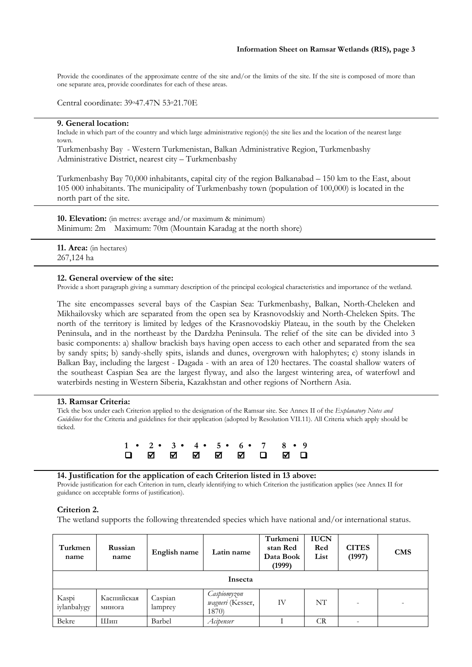Provide the coordinates of the approximate centre of the site and/or the limits of the site. If the site is composed of more than one separate area, provide coordinates for each of these areas.

Central coordinate: 39o47.47N 53o21.70E

### **9. General location:**

Include in which part of the country and which large administrative region(s) the site lies and the location of the nearest large town.

Turkmenbashy Bay - Western Turkmenistan, Balkan Administrative Region, Turkmenbashy Administrative District, nearest city – Turkmenbashy

Turkmenbashy Bay 70,000 inhabitants, capital city of the region Balkanabad – 150 km to the East, about 105 000 inhabitants. The municipality of Turkmenbashy town (population of 100,000) is located in the north part of the site.

**10. Elevation:** (in metres: average and/or maximum & minimum) Minimum: 2m Maximum: 70m (Mountain Karadag at the north shore)

**11. Area:** (in hectares) 267,124 ha

#### **12. General overview of the site:**

Provide a short paragraph giving a summary description of the principal ecological characteristics and importance of the wetland.

The site encompasses several bays of the Caspian Sea: Turkmenbashy, Balkan, North-Cheleken and Mikhailovsky which are separated from the open sea by Krasnovodskiy and North-Cheleken Spits. The north of the territory is limited by ledges of the Krasnovodskiy Plateau, in the south by the Cheleken Peninsula, and in the northeast by the Dardzha Peninsula. The relief of the site can be divided into 3 basic components: a) shallow brackish bays having open access to each other and separated from the sea by sandy spits; b) sandy-shelly spits, islands and dunes, overgrown with halophytes; c) stony islands in Balkan Bay, including the largest - Dagada - with an area of 120 hectares. The coastal shallow waters of the southeast Caspian Sea are the largest flyway, and also the largest wintering area, of waterfowl and waterbirds nesting in Western Siberia, Kazakhstan and other regions of Northern Asia.

#### **13. Ramsar Criteria:**

Tick the box under each Criterion applied to the designation of the Ramsar site. See Annex II of the *Explanatory Notes and Guidelines* for the Criteria and guidelines for their application (adopted by Resolution VII.11). All Criteria which apply should be ticked.



## **14. Justification for the application of each Criterion listed in 13 above:**

Provide justification for each Criterion in turn, clearly identifying to which Criterion the justification applies (see Annex II for guidance on acceptable forms of justification).

#### **Criterion 2.**

The wetland supports the following threatended species which have national and/or international status.

| Turkmen<br>name      | Russian<br>name      | English name       | Latin name                               | Turkmeni<br>stan Red<br>Data Book<br>(1999) | <b>IUCN</b><br>Red<br>List | <b>CITES</b><br>(1997) | <b>CMS</b> |  |  |
|----------------------|----------------------|--------------------|------------------------------------------|---------------------------------------------|----------------------------|------------------------|------------|--|--|
| Insecta              |                      |                    |                                          |                                             |                            |                        |            |  |  |
| Kaspi<br>iylanbalygy | Каспийская<br>минога | Caspian<br>lamprey | Caspiomyzon<br>wagneri (Kesser,<br>1870) | IV                                          | NT                         |                        |            |  |  |
| Bekre                | Шип                  | Barbel             | Acipenser                                |                                             | CR                         |                        |            |  |  |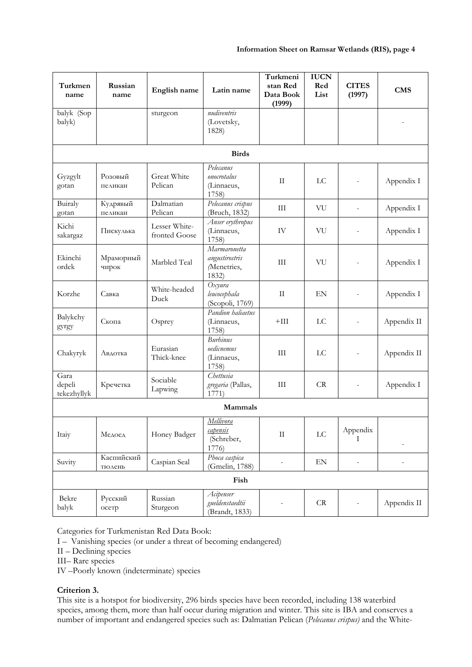| Turkmen                       | Russian              | English name                   | Latin name                                            | Turkmeni<br>stan Red     | <b>IUCN</b><br>Red | <b>CITES</b>             | <b>CMS</b>  |
|-------------------------------|----------------------|--------------------------------|-------------------------------------------------------|--------------------------|--------------------|--------------------------|-------------|
| name                          | name                 |                                |                                                       | Data Book<br>(1999)      | List               | (1997)                   |             |
| balyk (Sop<br>balyk)          |                      | sturgeon                       | nudiventris<br>(Lovetsky,<br>1828)                    |                          |                    |                          |             |
|                               |                      |                                | <b>Birds</b>                                          |                          |                    |                          |             |
| Gyzgylt<br>gotan              | Розовый<br>пеликан   | Great White<br>Pelican         | Pelecanus<br>onocrotalus<br>(Linnaeus,<br>1758)       | $\mathbf{I}$             | LC                 | $\bar{a}$                | Appendix I  |
| Buiraly<br>gotan              | Кудрявый<br>пеликан  | Dalmatian<br>Pelican           | Pelecanus crispus<br>(Bruch, 1832)                    | $\mathop{\rm III}$       | VU                 | $\overline{\phantom{a}}$ | Appendix I  |
| Kichi<br>sakargaz             | Пискулька            | Lesser White-<br>fronted Goose | Anser erythropus<br>(Linnaeus,<br>1758)               | IV                       | VU                 | $\overline{\phantom{a}}$ | Appendix I  |
| Ekinchi<br>ordek              | Мраморный<br>чирок   | Marbled Teal                   | Marmaronetta<br>angustirostris<br>Menetries,<br>1832) | III                      | VU                 | $\overline{\phantom{a}}$ | Appendix I  |
| Korzhe                        | Савка                | White-headed<br>Duck           | Oxyura<br>leucocephala<br>(Scopoli, 1769)             | $\mathbf{I}$             | EN                 |                          | Appendix I  |
| Balykchy<br>gyrgy             | Скопа                | Osprey                         | Pandion haliaetus<br>(Linnaeus,<br>1758)              | $+III$                   | LC                 | $\bar{a}$                | Appendix II |
| Chakyryk                      | Авдотка              | Eurasian<br>Thick-knee         | <b>Burhinus</b><br>oedicnemus<br>(Linnaeus,<br>1758)  | III                      | LC                 | $\overline{\phantom{a}}$ | Appendix II |
| Gara<br>depeli<br>tekezhyllyk | Кречетка             | Sociable<br>Lapwing            | Chettusia<br>gregaria (Pallas,<br>1771)               | $\rm III$                | CR                 | $\overline{\phantom{a}}$ | Appendix I  |
|                               |                      |                                | Mammals                                               |                          |                    |                          |             |
| Itaiy                         | Медоед               | Honey Badger                   | Mellivora<br>capensis<br>(Schreber,<br>1776)          | $\rm II$                 | ${\rm LC}$         | Appendix<br>T            |             |
| Suvity                        | Каспийский<br>тюлень | Caspian Seal                   | Phoca caspica<br>(Gmelin, 1788)                       | $\overline{\phantom{a}}$ | EN                 | $\overline{\phantom{a}}$ |             |
|                               |                      |                                | Fish                                                  |                          |                    |                          |             |
| Bekre<br>balyk                | Русский<br>осетр     | Russian<br>Sturgeon            | Acipenser<br>gueldenstaedtii<br>(Brandt, 1833)        |                          | CR                 |                          | Appendix II |

Categories for Turkmenistan Red Data Book:

I – Vanishing species (or under a threat of becoming endangered)

II – Declining species

III– Rare species

IV –Poorly known (indeterminate) species

# **Criterion 3.**

This site is a hotspot for biodiversity, 296 birds species have been recorded, including 138 waterbird species, among them, more than half occur during migration and winter. This site is IBA and conserves a number of important and endangered species such as: Dalmatian Pelican (*Pelecanus crispus)* and the White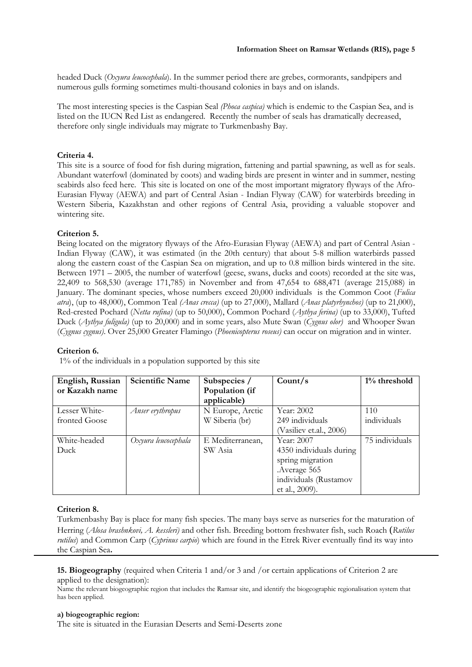headed Duck (*Oxyura leucocephala*). In the summer period there are grebes, cormorants, sandpipers and numerous gulls forming sometimes multi-thousand colonies in bays and on islands.

The most interesting species is the Caspian Seal *(Phoca caspica)* which is endemic to the Caspian Sea, and is listed on the IUCN Red List as endangered. Recently the number of seals has dramatically decreased, therefore only single individuals may migrate to Turkmenbashy Bay.

## **Criteria 4.**

This site is a source of food for fish during migration, fattening and partial spawning, as well as for seals. Abundant waterfowl (dominated by coots) and wading birds are present in winter and in summer, nesting seabirds also feed here. This site is located on one of the most important migratory flyways of the Afro-Eurasian Flyway (AEWA) and part of Central Asian - Indian Flyway (CAW) for waterbirds breeding in Western Siberia, Kazakhstan and other regions of Central Asia, providing a valuable stopover and wintering site.

# **Criterion 5.**

Being located on the migratory flyways of the Afro-Eurasian Flyway (AEWA) and part of Central Asian - Indian Flyway (CAW), it was estimated (in the 20th century) that about 5-8 million waterbirds passed along the eastern coast of the Caspian Sea on migration, and up to 0.8 million birds wintered in the site. Between 1971 – 2005, the number of waterfowl (geese, swans, ducks and coots) recorded at the site was, 22,409 to 568,530 (average 171,785) in November and from 47,654 to 688,471 (average 215,088) in January. The dominant species, whose numbers exceed 20,000 individuals is the Common Coot (*Fulica atra*), (up to 48,000), Common Teal *(Anas crecca)* (up to 27,000), Mallard (*Anas platyrhynchos)* (up to 21,000), Red-crested Pochard (*Netta rufina)* (up to 50,000), Common Pochard (*Aythya ferina)* (up to 33,000), Tufted Duck (*Aythya fuligula)* (up to 20,000) and in some years, also Mute Swan (*Cygnus olor)* and Whooper Swan (*Cygnus cygnus)*. Over 25,000 Greater Flamingo (*Phoenicopterus roseus)* can occur on migration and in winter.

## **Criterion 6.**

1% of the individuals in a population supported by this site

| English, Russian | <b>Scientific Name</b> | Subspecies /     | Count/s                 | $1\%$ threshold |
|------------------|------------------------|------------------|-------------------------|-----------------|
| or Kazakh name   |                        | Population (if   |                         |                 |
|                  |                        | applicable)      |                         |                 |
| Lesser White-    | Anser erythropus       | N Europe, Arctic | Year: 2002              | 110             |
| fronted Goose    |                        | W Siberia (br)   | 249 individuals         | individuals     |
|                  |                        |                  | (Vasiliev et.al., 2006) |                 |
| White-headed     | Oxyura leucocephala    | E Mediterranean, | Year: 2007              | 75 individuals  |
| Duck             |                        | SW Asia          | 4350 individuals during |                 |
|                  |                        |                  | spring migration        |                 |
|                  |                        |                  | Average 565             |                 |
|                  |                        |                  | individuals (Rustamov   |                 |
|                  |                        |                  | et al., 2009).          |                 |

# **Criterion 8.**

Turkmenbashy Bay is place for many fish species. The many bays serve as nurseries for the maturation of Herring (*Alosa brashnkovi, A. kessleri)* and other fish. Breeding bottom freshwater fish, such Roach (*Rutilus rutilus*) and Common Carp (*Cyprinus carpio*) which are found in the Etrek River eventually find its way into the Caspian Sea**.** 

**15. Biogeography** (required when Criteria 1 and/or 3 and /or certain applications of Criterion 2 are applied to the designation):

Name the relevant biogeographic region that includes the Ramsar site, and identify the biogeographic regionalisation system that has been applied.

## **a) biogeographic region:**

The site is situated in the Eurasian Deserts and Semi-Deserts zone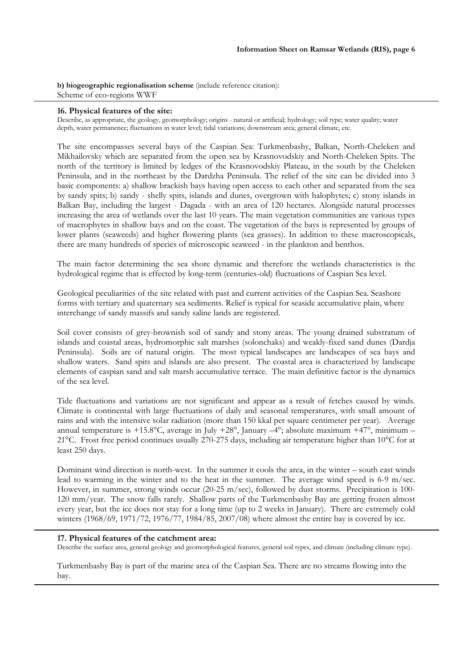**b) biogeographic regionalisation scheme** (include reference citation): Scheme of eco-regions WWF

## **16. Physical features of the site:**

Describe, as appropriate, the geology, geomorphology; origins - natural or artificial; hydrology; soil type; water quality; water depth, water permanence; fluctuations in water level; tidal variations; downstream area; general climate, etc.

The site encompasses several bays of the Caspian Sea: Turkmenbashy, Balkan, North-Cheleken and Mikhailovsky which are separated from the open sea by Krasnovodskiy and North-Cheleken Spits. The north of the territory is limited by ledges of the Krasnovodskiy Plateau, in the south by the Cheleken Peninsula, and in the northeast by the Dardzha Peninsula. The relief of the site can be divided into 3 basic components: a) shallow brackish bays having open access to each other and separated from the sea by sandy spits; b) sandy - shelly spits, islands and dunes, overgrown with halophytes; c) stony islands in Balkan Bay, including the largest - Dagada - with an area of 120 hectares. Alongside natural processes increasing the area of wetlands over the last 10 years. The main vegetation communities are various types of macrophytes in shallow bays and on the coast. The vegetation of the bays is represented by groups of lower plants (seaweeds) and higher flowering plants (sea grasses). In addition to these macroscopicals, there are many hundreds of species of microscopic seaweed - in the plankton and benthos.

The main factor determining the sea shore dynamic and therefore the wetlands characteristics is the hydrological regime that is effected by long-term (centuries-old) fluctuations of Caspian Sea level.

Geological peculiarities of the site related with past and current activities of the Caspian Sea. Seashore forms with tertiary and quaternary sea sediments. Relief is typical for seaside accumulative plain, where interchange of sandy massifs and sandy saline lands are registered.

Soil cover consists of grey-brownish soil of sandy and stony areas. The young drained substratum of islands and coastal areas, hydromorphic salt marshes (solonchaks) and weakly-fixed sand dunes (Dardja Peninsula). Soils are of natural origin. The most typical landscapes are landscapes of sea bays and shallow waters. Sand spits and islands are also present. The coastal area is characterized by landscape elements of caspian sand and salt marsh accumulative terrace. The main definitive factor is the dynamics of the sea level.

Tide fluctuations and variations are not significant and appear as a result of fetches caused by winds. Climate is continental with large fluctuations of daily and seasonal temperatures, with small amount of rains and with the intensive solar radiation (more than 150 kkal per square centimeter per year). Average annual temperature is +15.8°C, average in July +28°, January  $-4$ °; absolute maximum +47°, minimum – 21°С. Frost free period continues usually 270-275 days, including air temperature higher than 10°С for at least 250 days.

Dominant wind direction is north-west. In the summer it cools the area, in the winter – south east winds lead to warming in the winter and to the heat in the summer. The average wind speed is 6-9 m/sec. However, in summer, strong winds occur (20-25 m/sec), followed by dust storms. Precipitation is 100- 120 mm/year. The snow falls rarely. Shallow parts of the Turkmenbashy Bay are getting frozen almost every year, but the ice does not stay for a long time (up to 2 weeks in January). There are extremely cold winters (1968/69, 1971/72, 1976/77, 1984/85, 2007/08) where almost the entire bay is covered by ice.

## **17. Physical features of the catchment area:**

Describe the surface area, general geology and geomorphological features, general soil types, and climate (including climate type).

Turkmenbashy Bay is part of the marine area of the Caspian Sea. There are no streams flowing into the bay.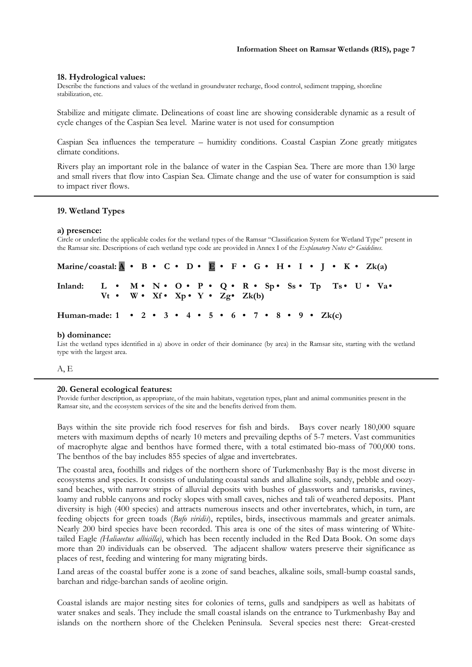#### **18. Hydrological values:**

Describe the functions and values of the wetland in groundwater recharge, flood control, sediment trapping, shoreline stabilization, etc.

Stabilize and mitigate climate. Delineations of coast line are showing considerable dynamic as a result of cycle changes of the Caspian Sea level. Marine water is not used for consumption

Caspian Sea influences the temperature – humidity conditions. Coastal Caspian Zone greatly mitigates climate conditions.

Rivers play an important role in the balance of water in the Caspian Sea. There are more than 130 large and small rivers that flow into Caspian Sea. Climate change and the use of water for consumption is said to impact river flows.

#### **19. Wetland Types**

#### **a) presence:**

Circle or underline the applicable codes for the wetland types of the Ramsar "Classification System for Wetland Type" present in the Ramsar site. Descriptions of each wetland type code are provided in Annex I of the *Explanatory Notes & Guidelines*.

| Marine/coastal: $\mathbf{A} \cdot \mathbf{B} \cdot \mathbf{C} \cdot \mathbf{D} \cdot \mathbf{E} \cdot \mathbf{F} \cdot \mathbf{G} \cdot \mathbf{H} \cdot \mathbf{I} \cdot \mathbf{J} \cdot \mathbf{K} \cdot \mathbf{Z}$ k(a) |                                                             |  |  |  |  |  |  |  |  |  |  |  |  |
|------------------------------------------------------------------------------------------------------------------------------------------------------------------------------------------------------------------------------|-------------------------------------------------------------|--|--|--|--|--|--|--|--|--|--|--|--|
| Inland: L • M • N • O • P • Q • R • Sp • Ss • Tp Ts • U • Va •                                                                                                                                                               | $Vt \cdot W \cdot Xf \cdot Xp \cdot Y \cdot Zg \cdot Zk(b)$ |  |  |  |  |  |  |  |  |  |  |  |  |
| Human-made: $1 \cdot 2 \cdot 3 \cdot 4 \cdot 5 \cdot 6 \cdot 7 \cdot 8 \cdot 9 \cdot Zk(c)$                                                                                                                                  |                                                             |  |  |  |  |  |  |  |  |  |  |  |  |

#### **b) dominance:**

List the wetland types identified in a) above in order of their dominance (by area) in the Ramsar site, starting with the wetland type with the largest area.

A, E

#### **20. General ecological features:**

Provide further description, as appropriate, of the main habitats, vegetation types, plant and animal communities present in the Ramsar site, and the ecosystem services of the site and the benefits derived from them.

Bays within the site provide rich food reserves for fish and birds. Bays cover nearly 180,000 square meters with maximum depths of nearly 10 meters and prevailing depths of 5-7 meters. Vast communities of macrophyte algae and benthos have formed there, with a total estimated bio-mass of 700,000 tons. The benthos of the bay includes 855 species of algae and invertebrates.

The coastal area, foothills and ridges of the northern shore of Turkmenbashy Bay is the most diverse in ecosystems and species. It consists of undulating coastal sands and alkaline soils, sandy, pebble and oozysand beaches, with narrow strips of alluvial deposits with bushes of glassworts and tamarisks, ravines, loamy and rubble canyons and rocky slopes with small caves, niches and tali of weathered deposits. Plant diversity is high (400 species) and attracts numerous insects and other invertebrates, which, in turn, are feeding objects for green toads (*Bufo viridis*), reptiles, birds, insectivous mammals and greater animals. Nearly 200 bird species have been recorded. This area is one of the sites of mass wintering of Whitetailed Eagle *(Haliaeetus albicilla)*, which has been recently included in the Red Data Book. On some days more than 20 individuals can be observed. The adjacent shallow waters preserve their significance as places of rest, feeding and wintering for many migrating birds.

Land areas of the coastal buffer zone is a zone of sand beaches, alkaline soils, small-bump coastal sands, barchan and ridge-barchan sands of aeoline origin.

Coastal islands are major nesting sites for colonies of terns, gulls and sandpipers as well as habitats of water snakes and seals. They include the small coastal islands on the entrance to Turkmenbashy Bay and islands on the northern shore of the Cheleken Peninsula. Several species nest there: Great-crested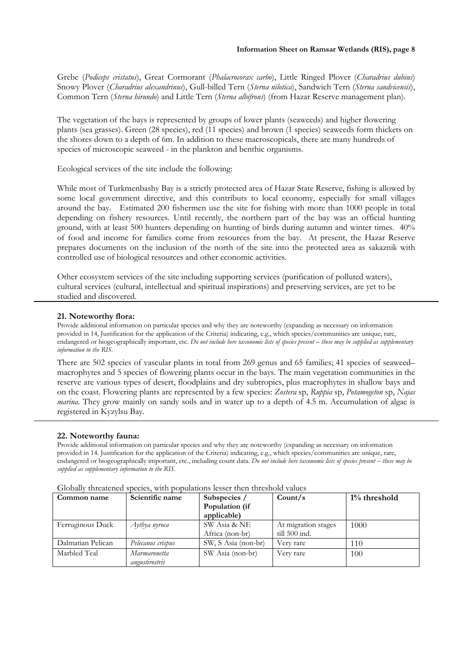Grebe (*Podiceps cristatus*), Great Cormorant (*Phalacrocorax carbo*), Little Ringed Plover (*Charadrius dubius*) Snowy Plover (*Charadrius alexandrinus*), Gull-billed Tern (*Sterna nilotica*), Sandwich Tern (*Sterna sandvicensis*), Common Tern (*Sterna hirundo*) and Little Tern (*Sterna albifrons*) (from Hazar Reserve management plan).

The vegetation of the bays is represented by groups of lower plants (seaweeds) and higher flowering plants (sea grasses). Green (28 species), red (11 species) and brown (1 species) seaweeds form thickets on the shores down to a depth of 6m. In addition to these macroscopicals, there are many hundreds of species of microscopic seaweed - in the plankton and benthic organisms.

Ecological services of the site include the following:

While most of Turkmenbashy Bay is a strictly protected area of Hazar State Reserve, fishing is allowed by some local government directive, and this contributs to local economy, especially for small villages around the bay. Estimated 200 fishermen use the site for fishing with more than 1000 people in total depending on fishery resources. Until recently, the northern part of the bay was an official hunting ground, with at least 500 hunters depending on hunting of birds during autumn and winter times. 40% of food and income for families come from resources from the bay. At present, the Hazar Reserve prepares documents on the inclusion of the north of the site into the protected area as sakaznik with controlled use of biological resources and other economic activities.

Other ecosystem services of the site including supporting services (purification of polluted waters), cultural services (cultural, intellectual and spiritual inspirations) and preserving services, are yet to be studied and discovered.

## **21. Noteworthy flora:**

Provide additional information on particular species and why they are noteworthy (expanding as necessary on information provided in 14, Justification for the application of the Criteria) indicating, e.g., which species/communities are unique, rare, endangered or biogeographically important, etc. *Do not include here taxonomic lists of species present – these may be supplied as supplementary information to the RIS.* 

There are 502 species of vascular plants in total from 269 genus and 65 families; 41 species of seaweed– macrophytes and 5 species of flowering plants occur in the bays. The main vegetation communities in the reserve are various types of desert, floodplains and dry subtropics, plus macrophytes in shallow bays and on the coast. Flowering plants are represented by a few species: *Zostera* sp, *Ruppia* sp, *Potamogeton* sp, *Najas marina*. They grow mainly on sandy soils and in water up to a depth of 4.5 m. Accumulation of algae is registered in Kyzylsu Bay.

## **22. Noteworthy fauna:**

Provide additional information on particular species and why they are noteworthy (expanding as necessary on information provided in 14. Justification for the application of the Criteria) indicating, e.g., which species/communities are unique, rare, endangered or biogeographically important, etc., including count data. *Do not include here taxonomic lists of species present – these may be supplied as supplementary information to the RIS.*

| Common name       | Scientific name   | Subspecies /        | Count/s                 | $1\%$ threshold |  |
|-------------------|-------------------|---------------------|-------------------------|-----------------|--|
|                   |                   | Population (if      |                         |                 |  |
|                   |                   | applicable)         |                         |                 |  |
| Ferruginous Duck  | Aythya nyroca     | SW Asia & NE        | At migration stages     | 1000            |  |
|                   |                   | Africa (non-br)     | $\text{till } 500$ ind. |                 |  |
| Dalmatian Pelican | Pelecanus crispus | SW, S Asia (non-br) | Very rare               | 110             |  |
| Marbled Teal      | Marmaronetta      | SW Asia (non-br)    | Very rare               | 100             |  |
|                   | angustirostris    |                     |                         |                 |  |

Globally threatened species, with populations lesser then threshold values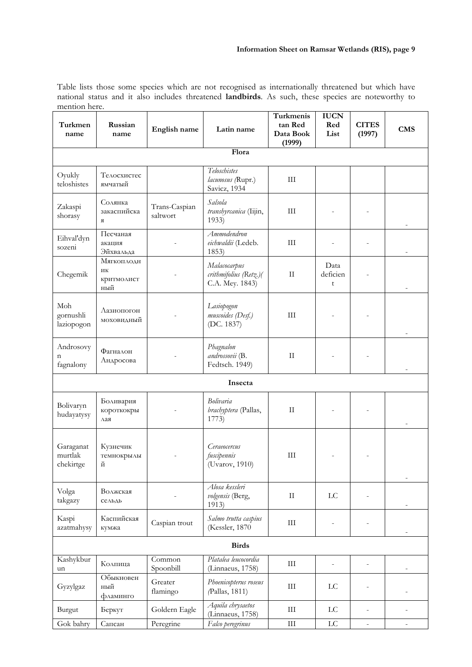Table lists those some species which are not recognised as internationally threatened but which have national status and it also includes threatened **landbirds**. As such, these species are noteworthy to mention here.

| Turkmen<br>name                   | Russian<br>name                       | English name              | Latin name                                                | Turkmenis<br>tan Red<br>Data Book<br>(1999) | <b>IUCN</b><br>Red<br>List | <b>CITES</b><br>(1997) | <b>CMS</b>               |
|-----------------------------------|---------------------------------------|---------------------------|-----------------------------------------------------------|---------------------------------------------|----------------------------|------------------------|--------------------------|
|                                   |                                       |                           | Flora                                                     |                                             |                            |                        |                          |
| Oyukly<br>teloshistes             | Телосхистес<br>ямчатый                |                           | Teloschistes<br>lacunosus (Rupr.)<br>Savicz, 1934         | III                                         |                            |                        |                          |
| Zakaspi<br>shorasy                | Солянка<br>закаспийска<br>Я           | Trans-Caspian<br>saltwort | Salsola<br>transhyrcanica (Iijin,<br>1933)                | III                                         |                            |                        |                          |
| Eihval'dyn<br>sozeni              | Песчаная<br>акация<br>Эйхвальда       |                           | Ammodendron<br>eichwaldii (Ledeb.<br>1853)                | III                                         |                            |                        |                          |
| Chegemik                          | Мягкоплодн<br>ИК<br>критмолист<br>ный |                           | Malacocarpus<br>crithmifolius (Retz.)(<br>C.A. Mey. 1843) | $\rm II$                                    | Data<br>deficien<br>t      |                        | $\overline{\phantom{0}}$ |
| Moh<br>gornushli<br>laziopogon    | Лазиопогон<br>моховидный              |                           | Lasiopogon<br>muscoides (Desf.)<br>(DC. 1837)             | III                                         |                            |                        |                          |
| Androsovy<br>n<br>fagnalony       | Фагналон<br>Андросова                 |                           | Phagnalon<br>androssovii (B.<br>Fedtsch. 1949)            | $\mathbf{I}$                                |                            |                        |                          |
|                                   |                                       |                           | Insecta                                                   |                                             |                            |                        |                          |
| Bolivaryn<br>hudayatysy           | Боливария<br>короткокры<br>лая        |                           | <b>Bolivaria</b><br>brachyptera (Pallas,<br>1773)         | $\rm{II}$                                   |                            |                        |                          |
| Garaganat<br>murtlak<br>chekirtge | Кузнечик<br>темнокрылы<br>й           |                           | Ceraeocercus<br>fuscipennis<br>(Uvarov, 1910)             | III                                         |                            |                        |                          |
| Volga<br>takgazy                  | Волжская<br>$ce$ льдь                 |                           | Alosa kessleri<br>volgensis (Berg,<br>1913)               | $\rm II$                                    | $\mathop{\rm LC}\nolimits$ |                        |                          |
| Kaspi<br>azatmahysy               | Каспийская<br>кумжа                   | Caspian trout             | Salmo trutta caspius<br>(Kessler, 1870                    | $\rm III$                                   |                            |                        |                          |
|                                   |                                       |                           | <b>Birds</b>                                              |                                             |                            |                        |                          |
| Kashykbur<br>un                   | Колпица                               | Common<br>Spoonbill       | Platalea leucocordia<br>(Linnaeus, 1758)                  | $\rm III$                                   |                            |                        | $\overline{\phantom{0}}$ |
| Gyzylgaz                          | Обыкновен<br>ный<br>фламинго          | Greater<br>flamingo       | Phoenicopterus roseus<br>(Pallas, 1811)                   | III                                         | LC                         |                        |                          |
| Burgut                            | Беркут                                | Goldern Eagle             | Aquila chrysaetos<br>(Linnaeus, 1758)                     | $\rm III$                                   | LC                         |                        |                          |
| Gok bahry                         | Сапсан                                | Peregrine                 | Falco peregrinus                                          | $\rm III$                                   | $_{\rm LC}$                |                        |                          |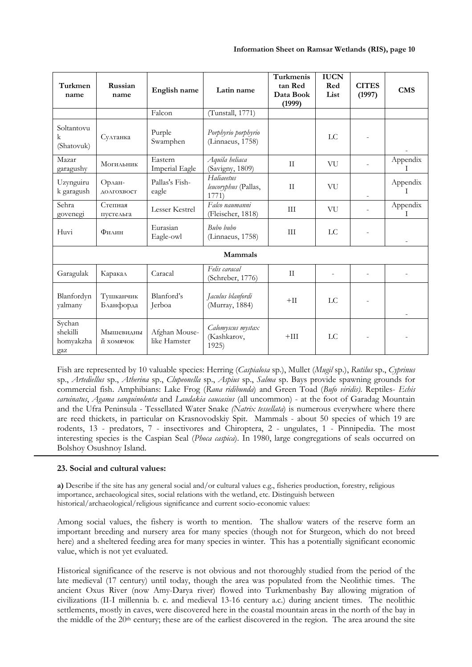| Turkmen<br>name                        | Russian<br>name        | English name                     | Latin name                                  | Turkmenis<br>tan Red<br>Data Book<br>(1999) | <b>IUCN</b><br>Red<br>List | <b>CITES</b><br>(1997) | <b>CMS</b>               |
|----------------------------------------|------------------------|----------------------------------|---------------------------------------------|---------------------------------------------|----------------------------|------------------------|--------------------------|
|                                        |                        | Falcon                           | (Tunstall, 1771)                            |                                             |                            |                        |                          |
| Soltantovu<br>k<br>(Shatovuk)          | Султанка               | Purple<br>Swamphen               | Porphyrio porphyrio<br>(Linnaeus, 1758)     |                                             | LC                         |                        |                          |
| Mazar<br>garagushy                     | Могильник              | Eastern<br><b>Imperial Eagle</b> | Aquila heliaca<br>(Savigny, 1809)           | $\rm{II}$                                   | VU                         |                        | Appendix<br>T            |
| Uzynguiru<br>k garagush                | Орлан-<br>ДОЛГОХВОСТ   | Pallas's Fish-<br>eagle          | Haliaeetus<br>leucoryphus (Pallas,<br>1771) | $\rm II$                                    | VU                         |                        | Appendix<br>$\mathbf{I}$ |
| Sehra<br>govenegi                      | Степная<br>пустельга   | Lesser Kestrel                   | Falco naumanni<br>(Fleischer, 1818)         | III                                         | VU                         |                        | Appendix<br>T            |
| Huvi                                   | Филин                  | Eurasian<br>Eagle-owl            | Buho huho<br>(Linnaeus, 1758)               | III                                         | LC                         |                        |                          |
|                                        |                        |                                  | Mammals                                     |                                             |                            |                        |                          |
| Garagulak                              | Каракал                | Caracal                          | Felis caracal<br>(Schreber, 1776)           | $\rm{II}$                                   |                            |                        |                          |
| Blanfordyn<br>yalmany                  | Тушканчик<br>Бланфорда | Blanford's<br>Jerboa             | Jaculus blanfordi<br>(Murray, 1884)         | $+$ II                                      | LC                         |                        |                          |
| Sychan<br>shekilli<br>homyakzha<br>gaz | Мышевидны<br>й хомячок | Afghan Mouse-<br>like Hamster    | Calomyscus mystax<br>(Kashkarov,<br>1925)   | $+III$                                      | LC                         |                        |                          |

Fish are represented by 10 valuable species: Herring (*Caspialosa* sp.), Mullet (*Mugil* sp.), *Rutilus* sp., *Cyprinus* sp., *Artediellus* sp., *Atherina* sp., *Clupeonella* sp., *Aspius* sp., *Salma* sp. Bays provide spawning grounds for commercial fish. Amphibians: Lake Frog (*Rana ridibunda*) and Green Toad (*Bufo viridis)*. Reptiles- *Echis caruinatus*, *Agama sanquinolenta* and *Laudakia caucasius* (all uncommon) - at the foot of Garadag Mountain and the Ufra Peninsula - Tessellated Water Snake *(Natrix tessellata*) is numerous everywhere where there are reed thickets, in particular on Krasnovodskiy Spit. Mammals - about 50 species of which 19 are rodents, 13 - predators, 7 - insectivores and Chiroptera, 2 - ungulates, 1 - Pinnipedia. The most interesting species is the Caspian Seal (*Phoca caspica*). In 1980, large congregations of seals occurred on Bolshoy Osushnoy Island.

## **23. Social and cultural values:**

**a)** Describe if the site has any general social and/or cultural values e.g., fisheries production, forestry, religious importance, archaeological sites, social relations with the wetland, etc. Distinguish between historical/archaeological/religious significance and current socio-economic values:

Among social values, the fishery is worth to mention. The shallow waters of the reserve form an important breeding and nursery area for many species (though not for Sturgeon, which do not breed here) and a sheltered feeding area for many species in winter. This has a potentially significant economic value, which is not yet evaluated.

Historical significance of the reserve is not obvious and not thoroughly studied from the period of the late medieval (17 century) until today, though the area was populated from the Neolithic times. The ancient Oxus River (now Amy-Darya river) flowed into Turkmenbashy Bay allowing migration of civilizations (II-I millennia b. c. and medieval 13-16 century a.c.) during ancient times. The neolithic settlements, mostly in caves, were discovered here in the coastal mountain areas in the north of the bay in the middle of the  $20<sup>th</sup>$  century; these are of the earliest discovered in the region. The area around the site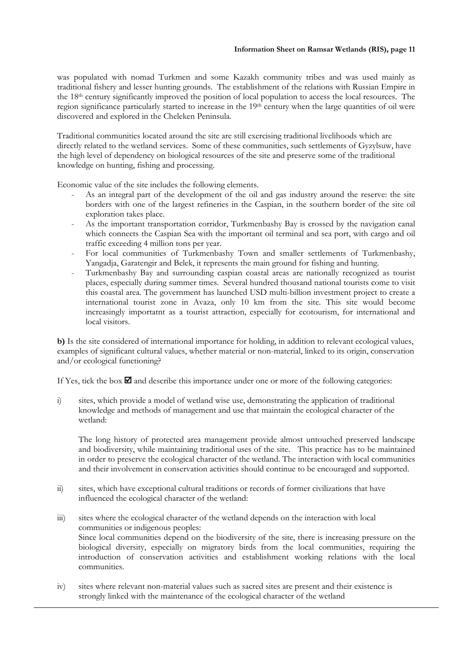was populated with nomad Turkmen and some Kazakh community tribes and was used mainly as traditional fishery and lesser hunting grounds. The establishment of the relations with Russian Empire in the 18th century significantly improved the position of local population to access the local resources. The region significance particularly started to increase in the 19th century when the large quantities of oil were discovered and explored in the Cheleken Peninsula.

Traditional communities located around the site are still exercising traditional livelihoods which are directly related to the wetland services. Some of these communities, such settlements of Gyzylsuw, have the high level of dependency on biological resources of the site and preserve some of the traditional knowledge on hunting, fishing and processing.

Economic value of the site includes the following elements.

- As an integral part of the development of the oil and gas industry around the reserve: the site borders with one of the largest refineries in the Caspian, in the southern border of the site oil exploration takes place.
- As the important transportation corridor, Turkmenbashy Bay is crossed by the navigation canal which connects the Caspian Sea with the important oil terminal and sea port, with cargo and oil traffic exceeding 4 million tons per year.
- For local communities of Turkmenbashy Town and smaller settlements of Turkmenbashy, Yangadja, Garatengir and Belek, it represents the main ground for fishing and hunting.
- Turkmenbashy Bay and surrounding caspian coastal areas are nationally recognized as tourist places, especially during summer times. Several hundred thousand national tourists come to visit this coastal area. The government has launched USD multi-billion investment project to create a international tourist zone in Avaza, only 10 km from the site. This site would become increasingly importatnt as a tourist attraction, especially for ecotourism, for international and local visitors.

**b)** Is the site considered of international importance for holding, in addition to relevant ecological values, examples of significant cultural values, whether material or non-material, linked to its origin, conservation and/or ecological functioning?

If Yes, tick the box  $\blacksquare$  and describe this importance under one or more of the following categories:

i) sites, which provide a model of wetland wise use, demonstrating the application of traditional knowledge and methods of management and use that maintain the ecological character of the wetland:

 The long history of protected area management provide almost untouched preserved landscape and biodiversity, while maintaining traditional uses of the site. This practice has to be maintained in order to preserve the ecological character of the wetland. The interaction with local communities and their involvement in conservation activities should continue to be encouraged and supported.

- ii) sites, which have exceptional cultural traditions or records of former civilizations that have influenced the ecological character of the wetland:
- iii) sites where the ecological character of the wetland depends on the interaction with local communities or indigenous peoples: Since local communities depend on the biodiversity of the site, there is increasing pressure on the biological diversity, especially on migratory birds from the local communities, requiring the introduction of conservation activities and establishment working relations with the local communities.
- iv) sites where relevant non-material values such as sacred sites are present and their existence is strongly linked with the maintenance of the ecological character of the wetland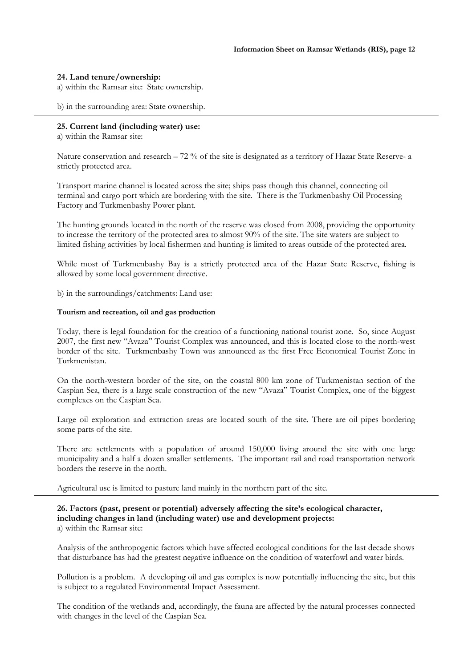## **24. Land tenure/ownership:**

a) within the Ramsar site: State ownership.

b) in the surrounding area: State ownership.

### **25. Current land (including water) use:**

a) within the Ramsar site:

Nature conservation and research  $-72\%$  of the site is designated as a territory of Hazar State Reserve- a strictly protected area.

Transport marine channel is located across the site; ships pass though this channel, connecting oil terminal and cargo port which are bordering with the site. There is the Turkmenbashy Oil Processing Factory and Turkmenbashy Power plant.

The hunting grounds located in the north of the reserve was closed from 2008, providing the opportunity to increase the territory of the protected area to almost 90% of the site. The site waters are subject to limited fishing activities by local fishermen and hunting is limited to areas outside of the protected area.

While most of Turkmenbashy Bay is a strictly protected area of the Hazar State Reserve, fishing is allowed by some local government directive.

b) in the surroundings/catchments: Land use:

#### **Tourism and recreation, oil and gas production**

Today, there is legal foundation for the creation of a functioning national tourist zone. So, since August 2007, the first new "Avaza" Tourist Complex was announced, and this is located close to the north-west border of the site. Turkmenbashy Town was announced as the first Free Economical Tourist Zone in Turkmenistan.

On the north-western border of the site, on the coastal 800 km zone of Turkmenistan section of the Caspian Sea, there is a large scale construction of the new "Avaza" Tourist Complex, one of the biggest complexes on the Caspian Sea.

Large oil exploration and extraction areas are located south of the site. There are oil pipes bordering some parts of the site.

There are settlements with a population of around 150,000 living around the site with one large municipality and a half a dozen smaller settlements. The important rail and road transportation network borders the reserve in the north.

Agricultural use is limited to pasture land mainly in the northern part of the site.

## **26. Factors (past, present or potential) adversely affecting the site's ecological character, including changes in land (including water) use and development projects:**  a) within the Ramsar site:

Analysis of the anthropogenic factors which have affected ecological conditions for the last decade shows that disturbance has had the greatest negative influence on the condition of waterfowl and water birds.

Pollution is a problem. A developing oil and gas complex is now potentially influencing the site, but this is subject to a regulated Environmental Impact Assessment.

The condition of the wetlands and, accordingly, the fauna are affected by the natural processes connected with changes in the level of the Caspian Sea.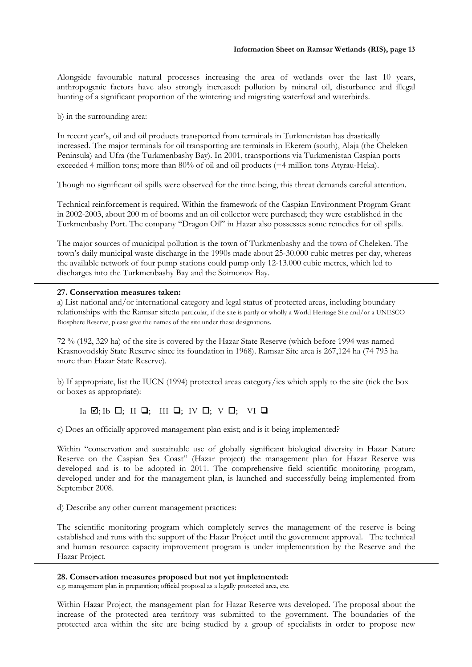Alongside favourable natural processes increasing the area of wetlands over the last 10 years, anthropogenic factors have also strongly increased: pollution by mineral oil, disturbance and illegal hunting of a significant proportion of the wintering and migrating waterfowl and waterbirds.

b) in the surrounding area:

In recent year's, oil and oil products transported from terminals in Turkmenistan has drastically increased. The major terminals for oil transporting are terminals in Ekerem (south), Alaja (the Cheleken Peninsula) and Ufra (the Turkmenbashy Bay). In 2001, transportions via Turkmenistan Caspian ports exceeded 4 million tons; more than 80% of oil and oil products (+4 million tons Atyrau-Heka).

Though no significant oil spills were observed for the time being, this threat demands careful attention.

Technical reinforcement is required. Within the framework of the Caspian Environment Program Grant in 2002-2003, about 200 m of booms and an oil collector were purchased; they were established in the Turkmenbashy Port. The company "Dragon Oil" in Hazar also possesses some remedies for oil spills.

The major sources of municipal pollution is the town of Turkmenbashy and the town of Cheleken. The town's daily municipal waste discharge in the 1990s made about 25-30.000 cubic metres per day, whereas the available network of four pump stations could pump only 12-13.000 cubic metres, which led to discharges into the Turkmenbashy Bay and the Soimonov Bay.

## **27. Conservation measures taken:**

a) List national and/or international category and legal status of protected areas, including boundary relationships with the Ramsar site:In particular, if the site is partly or wholly a World Heritage Site and/or a UNESCO Biosphere Reserve, please give the names of the site under these designations.

72 % (192, 329 hа) of the site is covered by the Hazar State Reserve (which before 1994 was named Krasnovodskiy State Reserve since its foundation in 1968). Ramsar Site area is 267,124 ha (74 795 ha more than Hazar State Reserve).

b) If appropriate, list the IUCN (1994) protected areas category/ies which apply to the site (tick the box or boxes as appropriate):

 $Ia \nightharpoonup j$ ; Ib  $\Box$ ; III  $\Box$ ; IV  $\Box$ ; V  $\Box$ ; VI  $\Box$ 

c) Does an officially approved management plan exist; and is it being implemented?

Within "conservation and sustainable use of globally significant biological diversity in Hazar Nature Reserve on the Caspian Sea Coast" (Hazar project) the management plan for Hazar Reserve was developed and is to be adopted in 2011. The comprehensive field scientific monitoring program, developed under and for the management plan, is launched and successfully being implemented from September 2008.

d) Describe any other current management practices:

The scientific monitoring program which completely serves the management of the reserve is being established and runs with the support of the Hazar Project until the government approval. The technical and human resource capacity improvement program is under implementation by the Reserve and the Hazar Project.

## **28. Conservation measures proposed but not yet implemented:**

e.g. management plan in preparation; official proposal as a legally protected area, etc.

Within Hazar Project, the management plan for Hazar Reserve was developed. The proposal about the increase of the protected area territory was submitted to the government. The boundaries of the protected area within the site are being studied by a group of specialists in order to propose new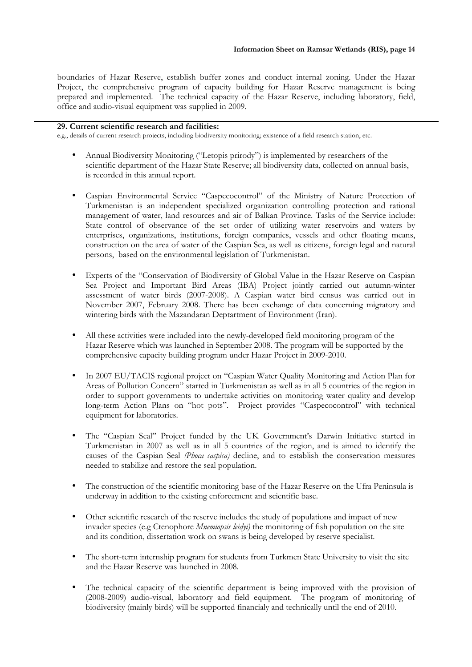boundaries of Hazar Reserve, establish buffer zones and conduct internal zoning. Under the Hazar Project, the comprehensive program of capacity building for Hazar Reserve management is being prepared and implemented. The technical capacity of the Hazar Reserve, including laboratory, field, office and audio-visual equipment was supplied in 2009.

## **29. Current scientific research and facilities:**

e.g., details of current research projects, including biodiversity monitoring; existence of a field research station, etc.

- Annual Biodiversity Monitoring ("Letopis prirody") is implemented by researchers of the scientific department of the Hazar State Reserve; all biodiversity data, collected on annual basis, is recorded in this annual report.
- Caspian Environmental Service "Caspecocontrol" of the Ministry of Nature Protection of Turkmenistan is an independent specialized organization controlling protection and rational management of water, land resources and air of Balkan Province. Tasks of the Service include: State control of observance of the set order of utilizing water reservoirs and waters by enterprises, organizations, institutions, foreign companies, vessels and other floating means, construction on the area of water of the Caspian Sea, as well as citizens, foreign legal and natural persons, based on the environmental legislation of Turkmenistan.
- Experts of the "Conservation of Biodiversity of Global Value in the Hazar Reserve on Caspian Sea Project and Important Bird Areas (IBA) Project jointly carried out autumn-winter assessment of water birds (2007-2008). A Caspian water bird census was carried out in November 2007, February 2008. There has been exchange of data concerning migratory and wintering birds with the Mazandaran Deptartment of Environment (Iran).
- All these activities were included into the newly-developed field monitoring program of the Hazar Reserve which was launched in September 2008. The program will be supported by the comprehensive capacity building program under Hazar Project in 2009-2010.
- In 2007 EU/TACIS regional project on "Caspian Water Quality Monitoring and Action Plan for Areas of Pollution Concern" started in Turkmenistan as well as in all 5 countries of the region in order to support governments to undertake activities on monitoring water quality and develop long-term Action Plans on "hot pots". Project provides "Caspecocontrol" with technical equipment for laboratories.
- The "Caspian Seal" Project funded by the UK Government's Darwin Initiative started in Turkmenistan in 2007 as well as in all 5 countries of the region, and is aimed to identify the causes of the Caspian Seal *(Phoca caspica)* decline, and to establish the conservation measures needed to stabilize and restore the seal population.
- The construction of the scientific monitoring base of the Hazar Reserve on the Ufra Peninsula is underway in addition to the existing enforcement and scientific base.
- Other scientific research of the reserve includes the study of populations and impact of new invader species (e.g Ctenophore *Mnemiopsis leidyi)* the monitoring of fish population on the site and its condition, dissertation work on swans is being developed by reserve specialist.
- The short-term internship program for students from Turkmen State University to visit the site and the Hazar Reserve was launched in 2008.
- The technical capacity of the scientific department is being improved with the provision of (2008-2009) audio-visual, laboratory and field equipment. The program of monitoring of biodiversity (mainly birds) will be supported financialy and technically until the end of 2010.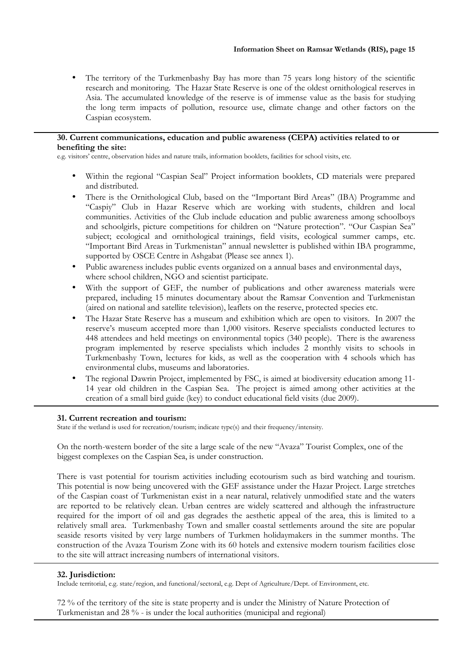• The territory of the Turkmenbashy Bay has more than 75 years long history of the scientific research and monitoring. The Hazar State Reserve is one of the oldest ornithological reserves in Asia. The accumulated knowledge of the reserve is of immense value as the basis for studying the long term impacts of pollution, resource use, climate change and other factors on the Caspian ecosystem.

## **30. Current communications, education and public awareness (CEPA) activities related to or benefiting the site:**

e.g. visitors' centre, observation hides and nature trails, information booklets, facilities for school visits, etc.

- Within the regional "Caspian Seal" Project information booklets, CD materials were prepared and distributed.
- There is the Ornithological Club, based on the "Important Bird Areas" (IBA) Programme and "Caspiy" Club in Hazar Reserve which are working with students, children and local communities. Activities of the Club include education and public awareness among schoolboys and schoolgirls, picture competitions for children on "Nature protection". "Our Caspian Sea" subject; ecological and ornithological trainings, field visits, ecological summer camps, etc. "Important Bird Areas in Turkmenistan" annual newsletter is published within IBA programme, supported by OSCE Centre in Ashgabat (Please see annex 1).
- Public awareness includes public events organized on a annual bases and environmental days, where school children, NGO and scientist participate.
- With the support of GEF, the number of publications and other awareness materials were prepared, including 15 minutes documentary about the Ramsar Convention and Turkmenistan (aired on national and satellite television), leaflets on the reserve, protected species etc.
- The Hazar State Reserve has a museum and exhibition which are open to visitors. In 2007 the reserve's museum accepted more than 1,000 visitors. Reserve specialists conducted lectures to 448 attendees and held meetings on environmental topics (340 people). There is the awareness program implemented by reserve specialists which includes 2 monthly visits to schools in Turkmenbashy Town, lectures for kids, as well as the cooperation with 4 schools which has environmental clubs, museums and laboratories.
- The regional Dawrin Project, implemented by FSC, is aimed at biodiversity education among 11- 14 year old children in the Caspian Sea. The project is aimed among other activities at the creation of a small bird guide (key) to conduct educational field visits (due 2009).

## **31. Current recreation and tourism:**

State if the wetland is used for recreation/tourism; indicate type(s) and their frequency/intensity.

On the north-western border of the site a large scale of the new "Avaza" Tourist Complex, one of the biggest complexes on the Caspian Sea, is under construction.

There is vast potential for tourism activities including ecotourism such as bird watching and tourism. This potential is now being uncovered with the GEF assistance under the Hazar Project. Large stretches of the Caspian coast of Turkmenistan exist in a near natural, relatively unmodified state and the waters are reported to be relatively clean. Urban centres are widely scattered and although the infrastructure required for the import of oil and gas degrades the aesthetic appeal of the area, this is limited to a relatively small area. Turkmenbashy Town and smaller coastal settlements around the site are popular seaside resorts visited by very large numbers of Turkmen holidaymakers in the summer months. The construction of the Avaza Tourism Zone with its 60 hotels and extensive modern tourism facilities close to the site will attract increasing numbers of international visitors.

## **32. Jurisdiction:**

Include territorial, e.g. state/region, and functional/sectoral, e.g. Dept of Agriculture/Dept. of Environment, etc.

72 % of the territory of the site is state property and is under the Ministry of Nature Protection of Turkmenistan and 28 % - is under the local authorities (municipal and regional)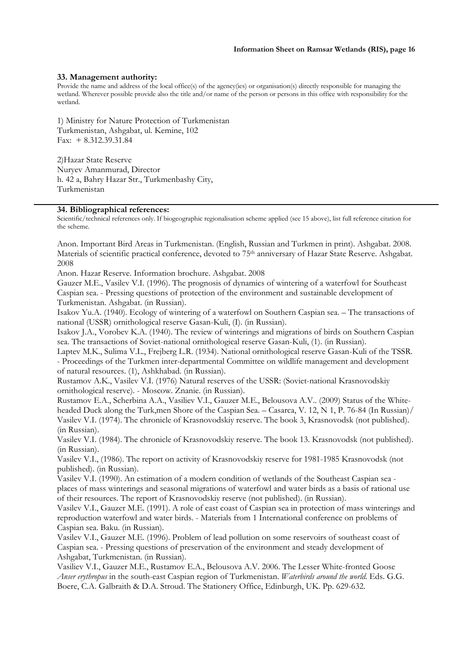## **33. Management authority:**

Provide the name and address of the local office(s) of the agency(ies) or organisation(s) directly responsible for managing the wetland. Wherever possible provide also the title and/or name of the person or persons in this office with responsibility for the wetland.

1) Ministry for Nature Protection of Turkmenistan Turkmenistan, Ashgabat, ul. Kemine, 102 Fax: + 8.312.39.31.84

2)Hazar State Reserve Nuryev Amanmurad, Director h. 42 a, Bahry Hazar Str., Turkmenbashy City, Turkmenistan

#### **34. Bibliographical references:**

Scientific/technical references only. If biogeographic regionalisation scheme applied (see 15 above), list full reference citation for the scheme.

Anon. Important Bird Areas in Turkmenistan. (English, Russian and Turkmen in print). Ashgabat. 2008. Materials of scientific practical conference, devoted to 75<sup>th</sup> anniversary of Hazar State Reserve. Ashgabat. 2008

Anon. Hazar Reserve. Information brochure. Ashgabat. 2008

Gauzer M.E., Vasilev V.I. (1996). The prognosis of dynamics of wintering of a waterfowl for Southeast Caspian sea. - Pressing questions of protection of the environment and sustainable development of Turkmenistan. Ashgabat. (in Russian).

Isakov Yu.A. (1940). Ecology of wintering of a waterfowl on Southern Caspian sea. – The transactions of national (USSR) ornithological reserve Gasan-Kuli, (I). (in Russian).

Isakov J.A., Vorobev K.A. (1940). The review of winterings and migrations of birds on Southern Caspian sea. The transactions of Soviet-national ornithological reserve Gasan-Kuli, (1). (in Russian).

Laptev M.K., Sulima V.L., Frejberg L.R. (1934). National ornithological reserve Gasan-Kuli of the TSSR. - Proceedings of the Turkmen inter-departmental Committee on wildlife management and development of natural resources. (1), Ashkhabad. (in Russian).

Rustamov A.K., Vasilev V.I. (1976) Natural reserves of the USSR: (Soviet-national Krasnovodskiy ornithological reserve). - Moscow. Znanie. (in Russian).

Rustamov E.A., Scherbina A.A., Vasiliev V.I., Gauzer M.E., Belousova A.V.. (2009) Status of the Whiteheaded Duck along the Turk,men Shore of the Caspian Sea. – Casarca, V. 12, N 1, P. 76-84 (In Russian)/ Vasilev V.I. (1974). The chronicle of Krasnovodskiy reserve. The book 3, Krasnovodsk (not published). (in Russian).

Vasilev V.I. (1984). The chronicle of Krasnovodskiy reserve. The book 13. Krasnovodsk (not published). (in Russian).

Vasilev V.I., (1986). The report on activity of Krasnovodskiy reserve for 1981-1985 Krasnovodsk (not published). (in Russian).

Vasilev V.I. (1990). An estimation of a modern condition of wetlands of the Southeast Caspian sea places of mass winterings and seasonal migrations of waterfowl and water birds as a basis of rational use of their resources. The report of Krasnovodskiy reserve (not published). (in Russian).

Vasilev V.I., Gauzer M.E. (1991). A role of east coast of Caspian sea in protection of mass winterings and reproduction waterfowl and water birds. - Materials from 1 International conference on problems of Caspian sea. Baku. (in Russian).

Vasilev V.I., Gauzer M.E. (1996). Problem of lead pollution on some reservoirs of southeast coast of Caspian sea. - Pressing questions of preservation of the environment and steady development of Ashgabat, Turkmenistan. (in Russian).

Vasiliev V.I., Gauzer M.E., Rustamov E.A., Belousova A.V. 2006. The Lesser White-fronted Goose *Anser erythropus* in the south-east Caspian region of Turkmenistan. *Waterbirds around the world*. Eds. G.G. Boere, C.A. Galbraith & D.A. Stroud. The Stationery Office, Edinburgh, UK. Pp. 629-632.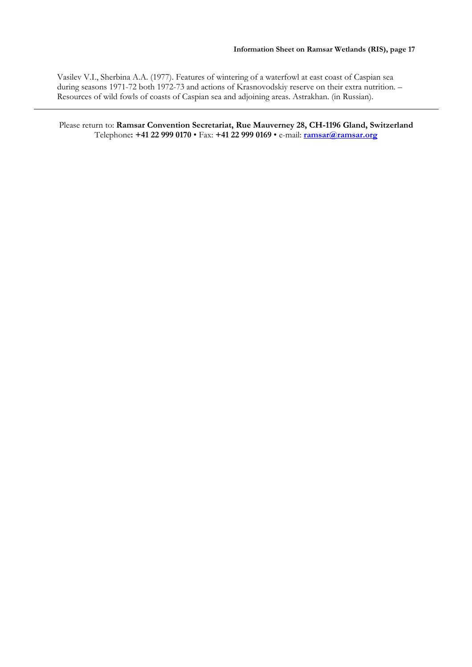Vasilev V.I., Sherbina А.А. (1977). Features of wintering of a waterfowl at east coast of Caspian sea during seasons 1971-72 both 1972-73 and actions of Krasnovodskiy reserve on their extra nutrition. – Resources of wild fowls of coasts of Caspian sea and adjoining areas. Astrakhan. (in Russian).

Please return to: **Ramsar Convention Secretariat, Rue Mauverney 28, CH-1196 Gland, Switzerland** Telephone**: +41 22 999 0170** • Fax: **+41 22 999 0169** • e-mail: **ramsar@ramsar.org**